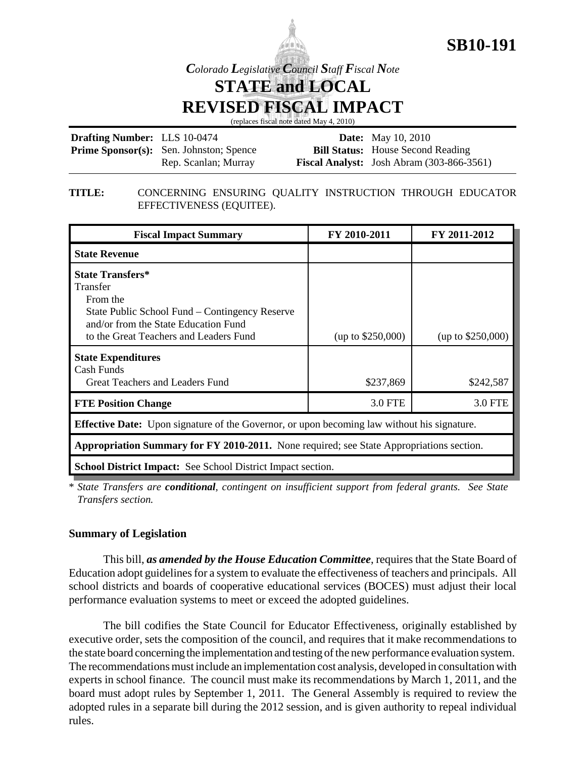

*Colorado Legislative Council Staff Fiscal Note*

**STATE and LOCAL**

**REVISED FISCAL IMPACT**

(replaces fiscal note dated May 4, 2010)

| <b>Drafting Number:</b> LLS 10-0474 |                                                | <b>Date:</b> May 10, 2010                          |
|-------------------------------------|------------------------------------------------|----------------------------------------------------|
|                                     | <b>Prime Sponsor(s):</b> Sen. Johnston; Spence | <b>Bill Status:</b> House Second Reading           |
|                                     | Rep. Scanlan; Murray                           | <b>Fiscal Analyst:</b> Josh Abram $(303-866-3561)$ |

#### **TITLE:** CONCERNING ENSURING QUALITY INSTRUCTION THROUGH EDUCATOR EFFECTIVENESS (EQUITEE).

| <b>Fiscal Impact Summary</b>                                                                                                                                                        | FY 2010-2011        | FY 2011-2012        |  |  |  |  |
|-------------------------------------------------------------------------------------------------------------------------------------------------------------------------------------|---------------------|---------------------|--|--|--|--|
| <b>State Revenue</b>                                                                                                                                                                |                     |                     |  |  |  |  |
| <b>State Transfers*</b><br>Transfer<br>From the<br>State Public School Fund – Contingency Reserve<br>and/or from the State Education Fund<br>to the Great Teachers and Leaders Fund | (up to $$250,000$ ) | (up to $$250,000$ ) |  |  |  |  |
| <b>State Expenditures</b><br>Cash Funds<br>Great Teachers and Leaders Fund                                                                                                          | \$237,869           | \$242,587           |  |  |  |  |
| <b>FTE Position Change</b>                                                                                                                                                          | 3.0 FTE             | <b>3.0 FTE</b>      |  |  |  |  |
| <b>Effective Date:</b> Upon signature of the Governor, or upon becoming law without his signature.                                                                                  |                     |                     |  |  |  |  |
| <b>Appropriation Summary for FY 2010-2011.</b> None required; see State Appropriations section.                                                                                     |                     |                     |  |  |  |  |
| <b>School District Impact:</b> See School District Impact section.                                                                                                                  |                     |                     |  |  |  |  |

\* *State Transfers are conditional, contingent on insufficient support from federal grants. See State Transfers section.* 

## **Summary of Legislation**

This bill, *as amended by the House Education Committee*, requires that the State Board of Education adopt guidelines for a system to evaluate the effectiveness of teachers and principals. All school districts and boards of cooperative educational services (BOCES) must adjust their local performance evaluation systems to meet or exceed the adopted guidelines.

The bill codifies the State Council for Educator Effectiveness, originally established by executive order, sets the composition of the council, and requires that it make recommendations to the state board concerning the implementation and testing of the new performance evaluation system. The recommendations must include an implementation cost analysis, developed in consultation with experts in school finance. The council must make its recommendations by March 1, 2011, and the board must adopt rules by September 1, 2011. The General Assembly is required to review the adopted rules in a separate bill during the 2012 session, and is given authority to repeal individual rules.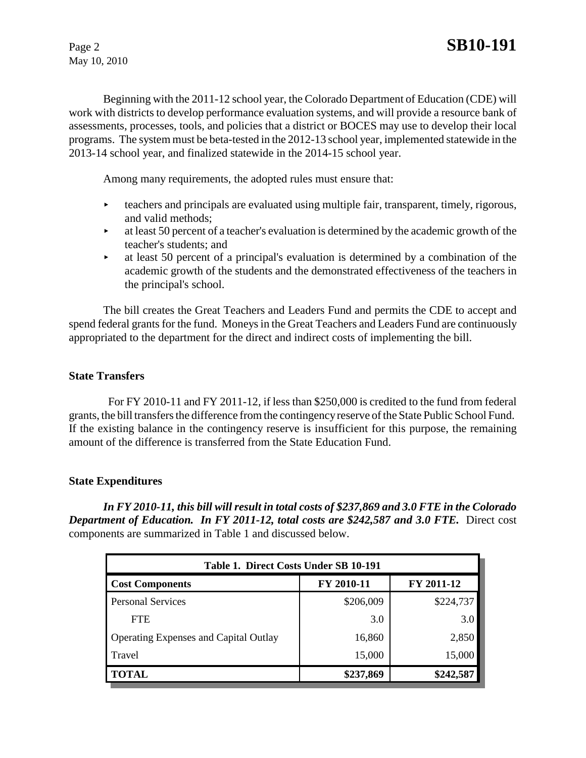May 10, 2010

Beginning with the 2011-12 school year, the Colorado Department of Education (CDE) will work with districts to develop performance evaluation systems, and will provide a resource bank of assessments, processes, tools, and policies that a district or BOCES may use to develop their local programs. The system must be beta-tested in the 2012-13 school year, implemented statewide in the 2013-14 school year, and finalized statewide in the 2014-15 school year.

Among many requirements, the adopted rules must ensure that:

- $\triangleright$  teachers and principals are evaluated using multiple fair, transparent, timely, rigorous, and valid methods;
- $\blacktriangleright$  at least 50 percent of a teacher's evaluation is determined by the academic growth of the teacher's students; and
- $\blacktriangleright$  at least 50 percent of a principal's evaluation is determined by a combination of the academic growth of the students and the demonstrated effectiveness of the teachers in the principal's school.

The bill creates the Great Teachers and Leaders Fund and permits the CDE to accept and spend federal grants for the fund. Moneys in the Great Teachers and Leaders Fund are continuously appropriated to the department for the direct and indirect costs of implementing the bill.

## **State Transfers**

 For FY 2010-11 and FY 2011-12, if less than \$250,000 is credited to the fund from federal grants, the bill transfers the difference from the contingency reserve of the State Public School Fund. If the existing balance in the contingency reserve is insufficient for this purpose, the remaining amount of the difference is transferred from the State Education Fund.

## **State Expenditures**

*In FY 2010-11, this bill will result in total costs of \$237,869 and 3.0 FTE in the Colorado Department of Education. In FY 2011-12, total costs are \$242,587 and 3.0 FTE. Direct cost* components are summarized in Table 1 and discussed below.

| Table 1. Direct Costs Under SB 10-191        |            |            |  |  |  |  |
|----------------------------------------------|------------|------------|--|--|--|--|
| <b>Cost Components</b>                       | FY 2010-11 | FY 2011-12 |  |  |  |  |
| <b>Personal Services</b>                     | \$206,009  | \$224,737  |  |  |  |  |
| <b>FTE</b>                                   | 3.0        | 3.0        |  |  |  |  |
| <b>Operating Expenses and Capital Outlay</b> | 16,860     | 2,850      |  |  |  |  |
| Travel                                       | 15,000     | 15,000     |  |  |  |  |
| <b>TOTAL</b>                                 | \$237,869  | \$242,587  |  |  |  |  |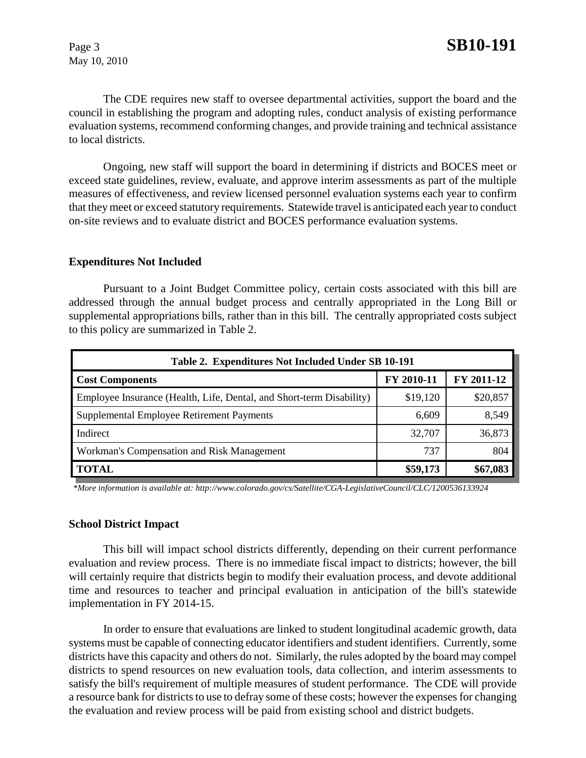May 10, 2010

The CDE requires new staff to oversee departmental activities, support the board and the council in establishing the program and adopting rules, conduct analysis of existing performance evaluation systems, recommend conforming changes, and provide training and technical assistance to local districts.

Ongoing, new staff will support the board in determining if districts and BOCES meet or exceed state guidelines, review, evaluate, and approve interim assessments as part of the multiple measures of effectiveness, and review licensed personnel evaluation systems each year to confirm that they meet or exceed statutory requirements. Statewide travel is anticipated each year to conduct on-site reviews and to evaluate district and BOCES performance evaluation systems.

#### **Expenditures Not Included**

Pursuant to a Joint Budget Committee policy, certain costs associated with this bill are addressed through the annual budget process and centrally appropriated in the Long Bill or supplemental appropriations bills, rather than in this bill. The centrally appropriated costs subject to this policy are summarized in Table 2.

| Table 2. Expenditures Not Included Under SB 10-191                   |            |            |  |  |  |  |
|----------------------------------------------------------------------|------------|------------|--|--|--|--|
| <b>Cost Components</b>                                               | FY 2010-11 | FY 2011-12 |  |  |  |  |
| Employee Insurance (Health, Life, Dental, and Short-term Disability) | \$19,120   | \$20,857   |  |  |  |  |
| Supplemental Employee Retirement Payments                            | 6,609      | 8,549      |  |  |  |  |
| Indirect                                                             | 32,707     | 36,873     |  |  |  |  |
| Workman's Compensation and Risk Management                           | 737        | 804        |  |  |  |  |
| <b>TOTAL</b>                                                         | \$59,173   | \$67,083   |  |  |  |  |

 *\*More information is available at: http://www.colorado.gov/cs/Satellite/CGA-LegislativeCouncil/CLC/1200536133924*

#### **School District Impact**

This bill will impact school districts differently, depending on their current performance evaluation and review process. There is no immediate fiscal impact to districts; however, the bill will certainly require that districts begin to modify their evaluation process, and devote additional time and resources to teacher and principal evaluation in anticipation of the bill's statewide implementation in FY 2014-15.

In order to ensure that evaluations are linked to student longitudinal academic growth, data systems must be capable of connecting educator identifiers and student identifiers. Currently, some districts have this capacity and others do not. Similarly, the rules adopted by the board may compel districts to spend resources on new evaluation tools, data collection, and interim assessments to satisfy the bill's requirement of multiple measures of student performance. The CDE will provide a resource bank for districts to use to defray some of these costs; however the expenses for changing the evaluation and review process will be paid from existing school and district budgets.